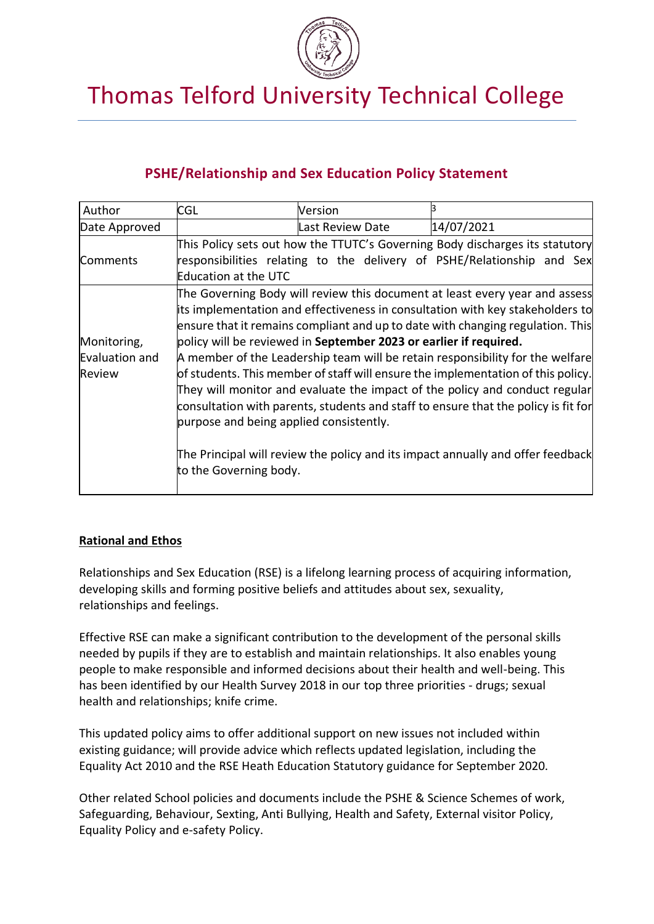

# Thomas Telford University Technical College

# **PSHE/Relationship and Sex Education Policy Statement**

| Author                                  | CGL                                                                                                                                                                                                                                                                                                                                                                                                                                                                                                                                                                                                                                                                                                                                                                                                                   | Version          |                                                                                                                                                        |
|-----------------------------------------|-----------------------------------------------------------------------------------------------------------------------------------------------------------------------------------------------------------------------------------------------------------------------------------------------------------------------------------------------------------------------------------------------------------------------------------------------------------------------------------------------------------------------------------------------------------------------------------------------------------------------------------------------------------------------------------------------------------------------------------------------------------------------------------------------------------------------|------------------|--------------------------------------------------------------------------------------------------------------------------------------------------------|
| Date Approved                           |                                                                                                                                                                                                                                                                                                                                                                                                                                                                                                                                                                                                                                                                                                                                                                                                                       | Last Review Date | 14/07/2021                                                                                                                                             |
| Comments                                | <b>Education at the UTC</b>                                                                                                                                                                                                                                                                                                                                                                                                                                                                                                                                                                                                                                                                                                                                                                                           |                  | This Policy sets out how the TTUTC's Governing Body discharges its statutory<br>responsibilities relating to the delivery of PSHE/Relationship and Sex |
| Monitoring,<br>Evaluation and<br>Review | The Governing Body will review this document at least every year and assess<br>its implementation and effectiveness in consultation with key stakeholders to<br>ensure that it remains compliant and up to date with changing regulation. This<br>policy will be reviewed in September 2023 or earlier if required.<br>A member of the Leadership team will be retain responsibility for the welfare<br>of students. This member of staff will ensure the implementation of this policy.<br>They will monitor and evaluate the impact of the policy and conduct regular<br>consultation with parents, students and staff to ensure that the policy is fit for<br>purpose and being applied consistently.<br>The Principal will review the policy and its impact annually and offer feedback<br>to the Governing body. |                  |                                                                                                                                                        |

### **Rational and Ethos**

Relationships and Sex Education (RSE) is a lifelong learning process of acquiring information, developing skills and forming positive beliefs and attitudes about sex, sexuality, relationships and feelings.

Effective RSE can make a significant contribution to the development of the personal skills needed by pupils if they are to establish and maintain relationships. It also enables young people to make responsible and informed decisions about their health and well-being. This has been identified by our Health Survey 2018 in our top three priorities - drugs; sexual health and relationships; knife crime.

This updated policy aims to offer additional support on new issues not included within existing guidance; will provide advice which reflects updated legislation, including the Equality Act 2010 and the RSE Heath Education Statutory guidance for September 2020.

Other related School policies and documents include the PSHE & Science Schemes of work, Safeguarding, Behaviour, Sexting, Anti Bullying, Health and Safety, External visitor Policy, Equality Policy and e-safety Policy.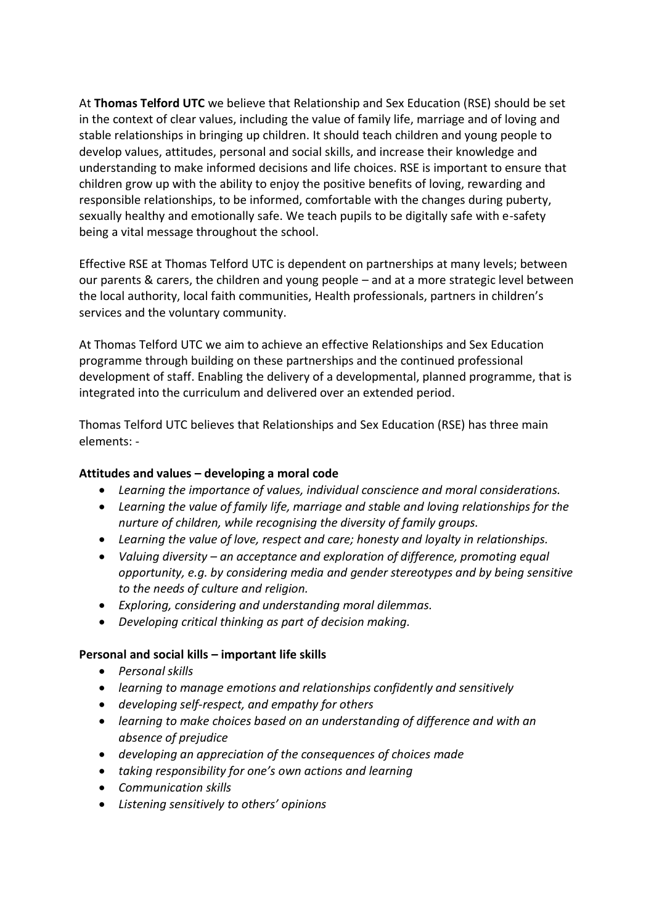At **Thomas Telford UTC** we believe that Relationship and Sex Education (RSE) should be set in the context of clear values, including the value of family life, marriage and of loving and stable relationships in bringing up children. It should teach children and young people to develop values, attitudes, personal and social skills, and increase their knowledge and understanding to make informed decisions and life choices. RSE is important to ensure that children grow up with the ability to enjoy the positive benefits of loving, rewarding and responsible relationships, to be informed, comfortable with the changes during puberty, sexually healthy and emotionally safe. We teach pupils to be digitally safe with e-safety being a vital message throughout the school.

Effective RSE at Thomas Telford UTC is dependent on partnerships at many levels; between our parents & carers, the children and young people – and at a more strategic level between the local authority, local faith communities, Health professionals, partners in children's services and the voluntary community.

At Thomas Telford UTC we aim to achieve an effective Relationships and Sex Education programme through building on these partnerships and the continued professional development of staff. Enabling the delivery of a developmental, planned programme, that is integrated into the curriculum and delivered over an extended period.

Thomas Telford UTC believes that Relationships and Sex Education (RSE) has three main elements: -

### **Attitudes and values – developing a moral code**

- *Learning the importance of values, individual conscience and moral considerations.*
- *Learning the value of family life, marriage and stable and loving relationships for the nurture of children, while recognising the diversity of family groups.*
- *Learning the value of love, respect and care; honesty and loyalty in relationships.*
- *Valuing diversity – an acceptance and exploration of difference, promoting equal opportunity, e.g. by considering media and gender stereotypes and by being sensitive to the needs of culture and religion.*
- *Exploring, considering and understanding moral dilemmas.*
- *Developing critical thinking as part of decision making.*

#### **Personal and social kills – important life skills**

- *Personal skills*
- *learning to manage emotions and relationships confidently and sensitively*
- *developing self-respect, and empathy for others*
- *learning to make choices based on an understanding of difference and with an absence of prejudice*
- *developing an appreciation of the consequences of choices made*
- *taking responsibility for one's own actions and learning*
- *Communication skills*
- *Listening sensitively to others' opinions*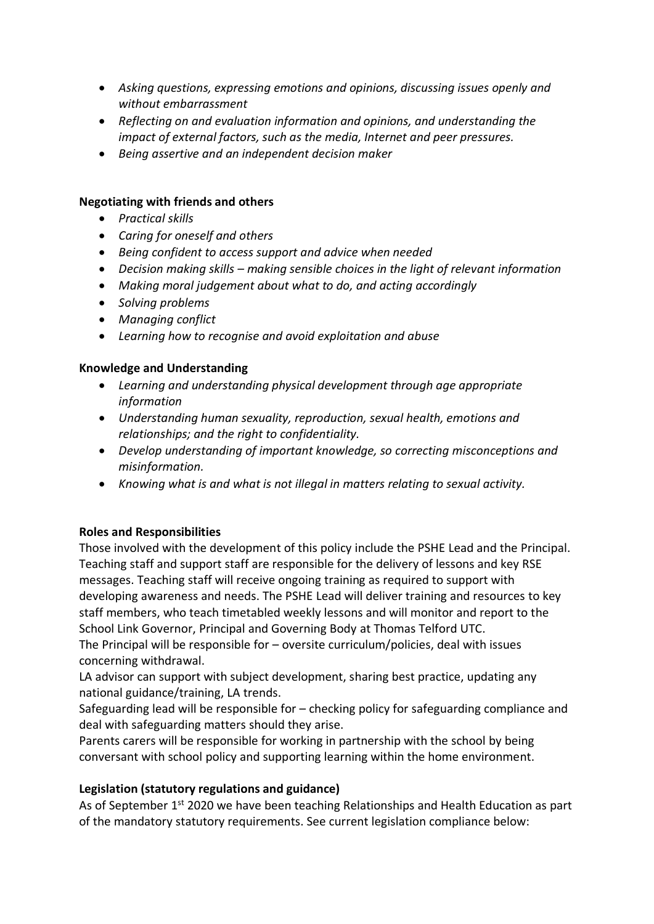- *Asking questions, expressing emotions and opinions, discussing issues openly and without embarrassment*
- *Reflecting on and evaluation information and opinions, and understanding the impact of external factors, such as the media, Internet and peer pressures.*
- *Being assertive and an independent decision maker*

### **Negotiating with friends and others**

- *Practical skills*
- *Caring for oneself and others*
- *Being confident to access support and advice when needed*
- *Decision making skills – making sensible choices in the light of relevant information*
- *Making moral judgement about what to do, and acting accordingly*
- *Solving problems*
- *Managing conflict*
- *Learning how to recognise and avoid exploitation and abuse*

### **Knowledge and Understanding**

- *Learning and understanding physical development through age appropriate information*
- *Understanding human sexuality, reproduction, sexual health, emotions and relationships; and the right to confidentiality.*
- *Develop understanding of important knowledge, so correcting misconceptions and misinformation.*
- *Knowing what is and what is not illegal in matters relating to sexual activity.*

### **Roles and Responsibilities**

Those involved with the development of this policy include the PSHE Lead and the Principal. Teaching staff and support staff are responsible for the delivery of lessons and key RSE messages. Teaching staff will receive ongoing training as required to support with developing awareness and needs. The PSHE Lead will deliver training and resources to key staff members, who teach timetabled weekly lessons and will monitor and report to the School Link Governor, Principal and Governing Body at Thomas Telford UTC. The Principal will be responsible for – oversite curriculum/policies, deal with issues

concerning withdrawal.

LA advisor can support with subject development, sharing best practice, updating any national guidance/training, LA trends.

Safeguarding lead will be responsible for – checking policy for safeguarding compliance and deal with safeguarding matters should they arise.

Parents carers will be responsible for working in partnership with the school by being conversant with school policy and supporting learning within the home environment.

### **Legislation (statutory regulations and guidance)**

As of September 1<sup>st</sup> 2020 we have been teaching Relationships and Health Education as part of the mandatory statutory requirements. See current legislation compliance below: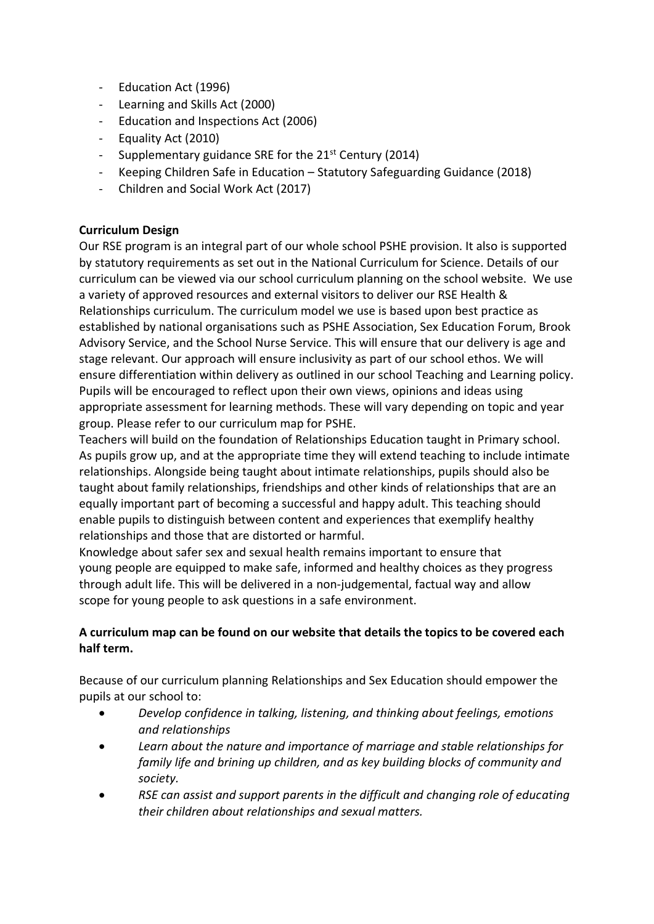- Education Act (1996)
- Learning and Skills Act (2000)
- Education and Inspections Act (2006)
- Equality Act (2010)
- Supplementary guidance SRE for the 21<sup>st</sup> Century (2014)
- Keeping Children Safe in Education Statutory Safeguarding Guidance (2018)
- Children and Social Work Act (2017)

#### **Curriculum Design**

Our RSE program is an integral part of our whole school PSHE provision. It also is supported by statutory requirements as set out in the National Curriculum for Science. Details of our curriculum can be viewed via our school curriculum planning on the school website. We use a variety of approved resources and external visitors to deliver our RSE Health & Relationships curriculum. The curriculum model we use is based upon best practice as established by national organisations such as PSHE Association, Sex Education Forum, Brook Advisory Service, and the School Nurse Service. This will ensure that our delivery is age and stage relevant. Our approach will ensure inclusivity as part of our school ethos. We will ensure differentiation within delivery as outlined in our school Teaching and Learning policy. Pupils will be encouraged to reflect upon their own views, opinions and ideas using appropriate assessment for learning methods. These will vary depending on topic and year group. Please refer to our curriculum map for PSHE.

Teachers will build on the foundation of Relationships Education taught in Primary school. As pupils grow up, and at the appropriate time they will extend teaching to include intimate relationships. Alongside being taught about intimate relationships, pupils should also be taught about family relationships, friendships and other kinds of relationships that are an equally important part of becoming a successful and happy adult. This teaching should enable pupils to distinguish between content and experiences that exemplify healthy relationships and those that are distorted or harmful.

Knowledge about safer sex and sexual health remains important to ensure that young people are equipped to make safe, informed and healthy choices as they progress through adult life. This will be delivered in a non-judgemental, factual way and allow scope for young people to ask questions in a safe environment.

## **A curriculum map can be found on our website that details the topics to be covered each half term.**

Because of our curriculum planning Relationships and Sex Education should empower the pupils at our school to:

- *Develop confidence in talking, listening, and thinking about feelings, emotions and relationships*
- *Learn about the nature and importance of marriage and stable relationships for family life and brining up children, and as key building blocks of community and society.*
- *RSE can assist and support parents in the difficult and changing role of educating their children about relationships and sexual matters.*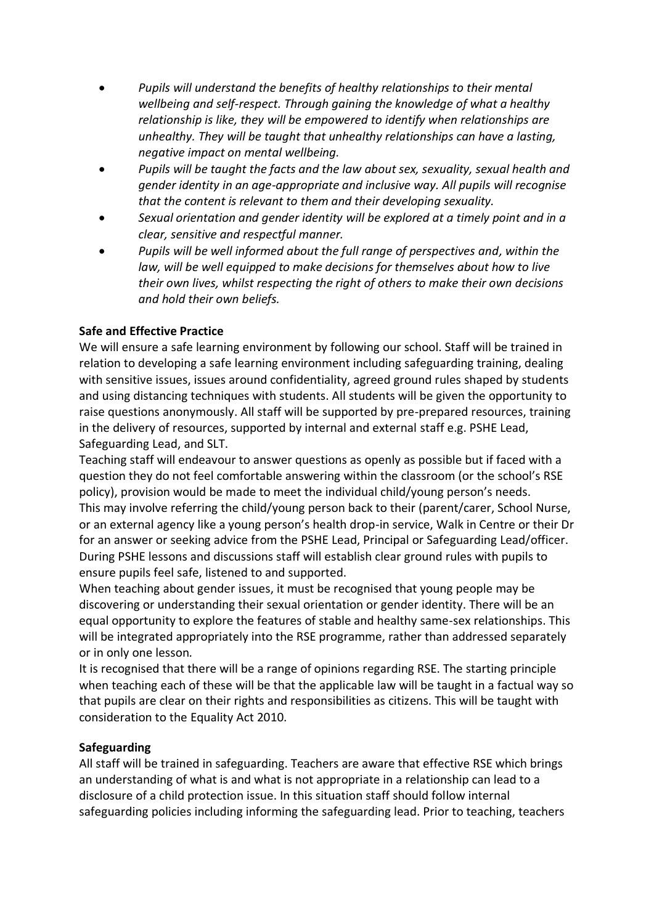- *Pupils will understand the benefits of healthy relationships to their mental wellbeing and self-respect. Through gaining the knowledge of what a healthy relationship is like, they will be empowered to identify when relationships are unhealthy. They will be taught that unhealthy relationships can have a lasting, negative impact on mental wellbeing.*
- *Pupils will be taught the facts and the law about sex, sexuality, sexual health and gender identity in an age-appropriate and inclusive way. All pupils will recognise that the content is relevant to them and their developing sexuality.*
- *Sexual orientation and gender identity will be explored at a timely point and in a clear, sensitive and respectful manner.*
- *Pupils will be well informed about the full range of perspectives and, within the law, will be well equipped to make decisions for themselves about how to live their own lives, whilst respecting the right of others to make their own decisions and hold their own beliefs.*

### **Safe and Effective Practice**

We will ensure a safe learning environment by following our school. Staff will be trained in relation to developing a safe learning environment including safeguarding training, dealing with sensitive issues, issues around confidentiality, agreed ground rules shaped by students and using distancing techniques with students. All students will be given the opportunity to raise questions anonymously. All staff will be supported by pre-prepared resources, training in the delivery of resources, supported by internal and external staff e.g. PSHE Lead, Safeguarding Lead, and SLT.

Teaching staff will endeavour to answer questions as openly as possible but if faced with a question they do not feel comfortable answering within the classroom (or the school's RSE policy), provision would be made to meet the individual child/young person's needs. This may involve referring the child/young person back to their (parent/carer, School Nurse, or an external agency like a young person's health drop-in service, Walk in Centre or their Dr for an answer or seeking advice from the PSHE Lead, Principal or Safeguarding Lead/officer. During PSHE lessons and discussions staff will establish clear ground rules with pupils to ensure pupils feel safe, listened to and supported.

When teaching about gender issues, it must be recognised that young people may be discovering or understanding their sexual orientation or gender identity. There will be an equal opportunity to explore the features of stable and healthy same-sex relationships. This will be integrated appropriately into the RSE programme, rather than addressed separately or in only one lesson*.* 

It is recognised that there will be a range of opinions regarding RSE. The starting principle when teaching each of these will be that the applicable law will be taught in a factual way so that pupils are clear on their rights and responsibilities as citizens. This will be taught with consideration to the Equality Act 2010.

### **Safeguarding**

All staff will be trained in safeguarding. Teachers are aware that effective RSE which brings an understanding of what is and what is not appropriate in a relationship can lead to a disclosure of a child protection issue. In this situation staff should follow internal safeguarding policies including informing the safeguarding lead. Prior to teaching, teachers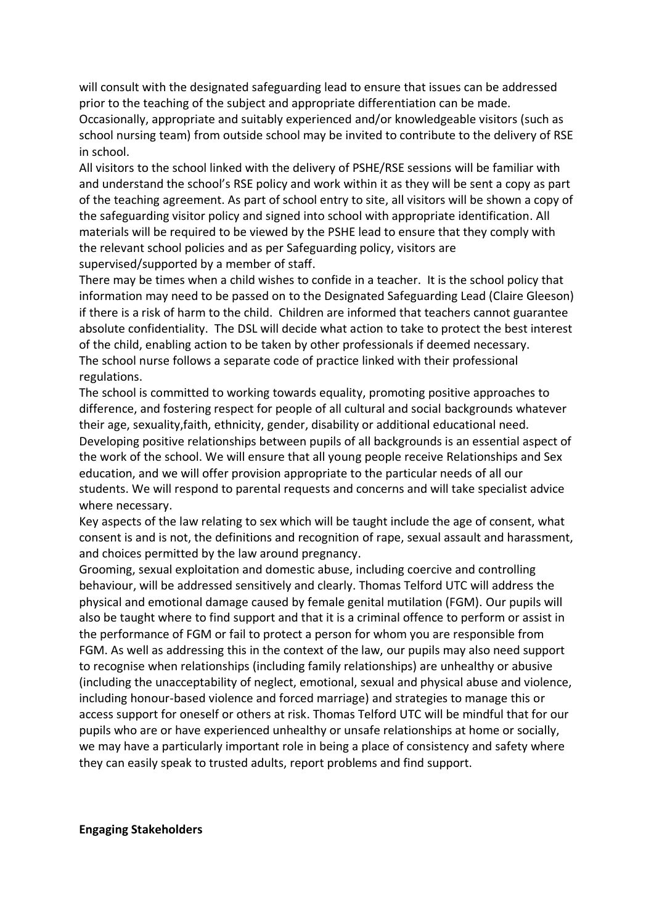will consult with the designated safeguarding lead to ensure that issues can be addressed prior to the teaching of the subject and appropriate differentiation can be made. Occasionally, appropriate and suitably experienced and/or knowledgeable visitors (such as school nursing team) from outside school may be invited to contribute to the delivery of RSE in school.

All visitors to the school linked with the delivery of PSHE/RSE sessions will be familiar with and understand the school's RSE policy and work within it as they will be sent a copy as part of the teaching agreement. As part of school entry to site, all visitors will be shown a copy of the safeguarding visitor policy and signed into school with appropriate identification. All materials will be required to be viewed by the PSHE lead to ensure that they comply with the relevant school policies and as per Safeguarding policy, visitors are supervised/supported by a member of staff.

There may be times when a child wishes to confide in a teacher. It is the school policy that information may need to be passed on to the Designated Safeguarding Lead (Claire Gleeson) if there is a risk of harm to the child. Children are informed that teachers cannot guarantee absolute confidentiality. The DSL will decide what action to take to protect the best interest of the child, enabling action to be taken by other professionals if deemed necessary. The school nurse follows a separate code of practice linked with their professional regulations.

The school is committed to working towards equality, promoting positive approaches to difference, and fostering respect for people of all cultural and social backgrounds whatever their age, sexuality,faith, ethnicity, gender, disability or additional educational need. Developing positive relationships between pupils of all backgrounds is an essential aspect of the work of the school. We will ensure that all young people receive Relationships and Sex education, and we will offer provision appropriate to the particular needs of all our students. We will respond to parental requests and concerns and will take specialist advice where necessary.

Key aspects of the law relating to sex which will be taught include the age of consent, what consent is and is not, the definitions and recognition of rape, sexual assault and harassment, and choices permitted by the law around pregnancy.

Grooming, sexual exploitation and domestic abuse, including coercive and controlling behaviour, will be addressed sensitively and clearly. Thomas Telford UTC will address the physical and emotional damage caused by female genital mutilation (FGM). Our pupils will also be taught where to find support and that it is a criminal offence to perform or assist in the performance of FGM or fail to protect a person for whom you are responsible from FGM. As well as addressing this in the context of the law, our pupils may also need support to recognise when relationships (including family relationships) are unhealthy or abusive (including the unacceptability of neglect, emotional, sexual and physical abuse and violence, including honour-based violence and forced marriage) and strategies to manage this or access support for oneself or others at risk. Thomas Telford UTC will be mindful that for our pupils who are or have experienced unhealthy or unsafe relationships at home or socially, we may have a particularly important role in being a place of consistency and safety where they can easily speak to trusted adults, report problems and find support.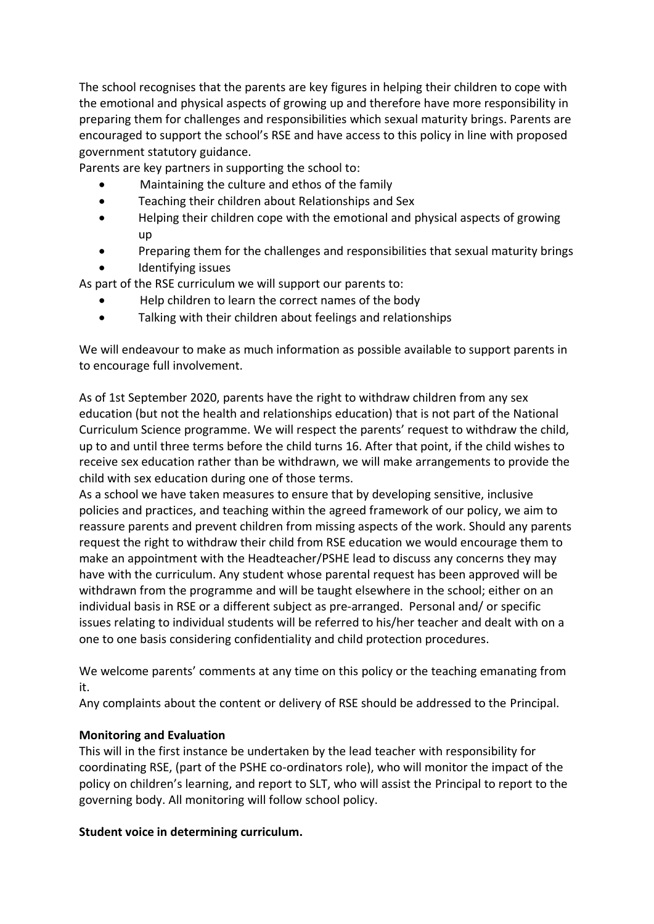The school recognises that the parents are key figures in helping their children to cope with the emotional and physical aspects of growing up and therefore have more responsibility in preparing them for challenges and responsibilities which sexual maturity brings. Parents are encouraged to support the school's RSE and have access to this policy in line with proposed government statutory guidance.

Parents are key partners in supporting the school to:

- Maintaining the culture and ethos of the family
- Teaching their children about Relationships and Sex
- Helping their children cope with the emotional and physical aspects of growing up
- Preparing them for the challenges and responsibilities that sexual maturity brings • Identifying issues

As part of the RSE curriculum we will support our parents to:

- Help children to learn the correct names of the body
- Talking with their children about feelings and relationships

We will endeavour to make as much information as possible available to support parents in to encourage full involvement.

As of 1st September 2020, parents have the right to withdraw children from any sex education (but not the health and relationships education) that is not part of the National Curriculum Science programme. We will respect the parents' request to withdraw the child, up to and until three terms before the child turns 16. After that point, if the child wishes to receive sex education rather than be withdrawn, we will make arrangements to provide the child with sex education during one of those terms.

As a school we have taken measures to ensure that by developing sensitive, inclusive policies and practices, and teaching within the agreed framework of our policy, we aim to reassure parents and prevent children from missing aspects of the work. Should any parents request the right to withdraw their child from RSE education we would encourage them to make an appointment with the Headteacher/PSHE lead to discuss any concerns they may have with the curriculum. Any student whose parental request has been approved will be withdrawn from the programme and will be taught elsewhere in the school; either on an individual basis in RSE or a different subject as pre-arranged. Personal and/ or specific issues relating to individual students will be referred to his/her teacher and dealt with on a one to one basis considering confidentiality and child protection procedures.

We welcome parents' comments at any time on this policy or the teaching emanating from it.

Any complaints about the content or delivery of RSE should be addressed to the Principal.

### **Monitoring and Evaluation**

This will in the first instance be undertaken by the lead teacher with responsibility for coordinating RSE, (part of the PSHE co-ordinators role), who will monitor the impact of the policy on children's learning, and report to SLT, who will assist the Principal to report to the governing body. All monitoring will follow school policy.

### **Student voice in determining curriculum.**